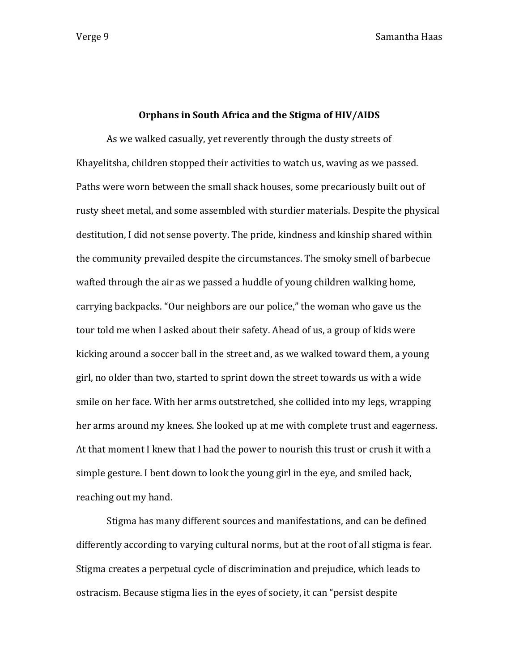Verge 9 Samantha Haas

## **Orphans in South Africa and the Stigma of HIV/AIDS**

As we walked casually, yet reverently through the dusty streets of Khayelitsha, children stopped their activities to watch us, waving as we passed. Paths were worn between the small shack houses, some precariously built out of rusty sheet metal, and some assembled with sturdier materials. Despite the physical destitution, I did not sense poverty. The pride, kindness and kinship shared within the community prevailed despite the circumstances. The smoky smell of barbecue wafted through the air as we passed a huddle of young children walking home, carrying backpacks. "Our neighbors are our police," the woman who gave us the tour told me when I asked about their safety. Ahead of us, a group of kids were kicking around a soccer ball in the street and, as we walked toward them, a young girl, no older than two, started to sprint down the street towards us with a wide smile on her face. With her arms outstretched, she collided into my legs, wrapping her arms around my knees. She looked up at me with complete trust and eagerness. At that moment I knew that I had the power to nourish this trust or crush it with a simple gesture. I bent down to look the young girl in the eye, and smiled back, reaching out my hand.

Stigma has many different sources and manifestations, and can be defined differently according to varying cultural norms, but at the root of all stigma is fear. Stigma creates a perpetual cycle of discrimination and prejudice, which leads to ostracism. Because stigma lies in the eyes of society, it can "persist despite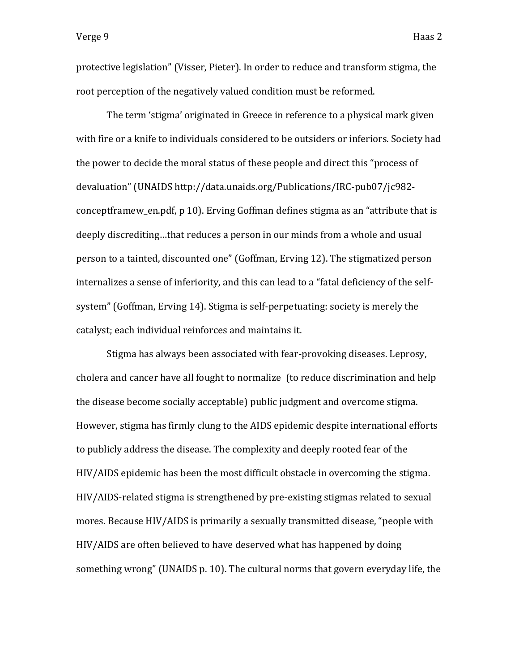protective legislation" (Visser, Pieter). In order to reduce and transform stigma, the root perception of the negatively valued condition must be reformed.

The term 'stigma' originated in Greece in reference to a physical mark given with fire or a knife to individuals considered to be outsiders or inferiors. Society had the power to decide the moral status of these people and direct this "process of devaluation" (UNAIDS http://data.unaids.org/Publications/IRC-pub07/jc982 conceptframew\_en.pdf, p 10). Erving Goffman defines stigma as an "attribute that is deeply discrediting…that reduces a person in our minds from a whole and usual person to a tainted, discounted one" (Goffman, Erving 12). The stigmatized person internalizes a sense of inferiority, and this can lead to a "fatal deficiency of the selfsystem" (Goffman, Erving 14). Stigma is self-perpetuating: society is merely the catalyst; each individual reinforces and maintains it.

Stigma has always been associated with fear-provoking diseases. Leprosy, cholera and cancer have all fought to normalize (to reduce discrimination and help the disease become socially acceptable) public judgment and overcome stigma. However, stigma has firmly clung to the AIDS epidemic despite international efforts to publicly address the disease. The complexity and deeply rooted fear of the HIV/AIDS epidemic has been the most difficult obstacle in overcoming the stigma. HIV/AIDS-related stigma is strengthened by pre-existing stigmas related to sexual mores. Because HIV/AIDS is primarily a sexually transmitted disease, "people with HIV/AIDS are often believed to have deserved what has happened by doing something wrong" (UNAIDS p. 10). The cultural norms that govern everyday life, the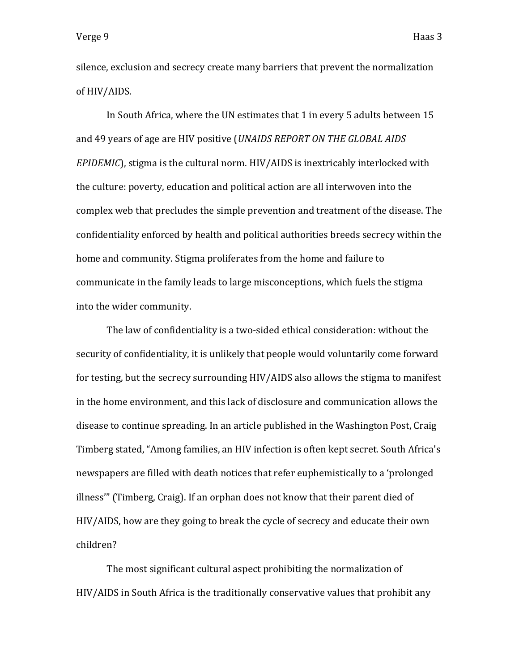silence, exclusion and secrecy create many barriers that prevent the normalization of HIV/AIDS.

In South Africa, where the UN estimates that 1 in every 5 adults between 15 and 49 years of age are HIV positive (*UNAIDS REPORT ON THE GLOBAL AIDS EPIDEMIC*), stigma is the cultural norm. HIV/AIDS is inextricably interlocked with the culture: poverty, education and political action are all interwoven into the complex web that precludes the simple prevention and treatment of the disease. The confidentiality enforced by health and political authorities breeds secrecy within the home and community. Stigma proliferates from the home and failure to communicate in the family leads to large misconceptions, which fuels the stigma into the wider community.

The law of confidentiality is a two-sided ethical consideration: without the security of confidentiality, it is unlikely that people would voluntarily come forward for testing, but the secrecy surrounding HIV/AIDS also allows the stigma to manifest in the home environment, and this lack of disclosure and communication allows the disease to continue spreading. In an article published in the Washington Post, Craig Timberg stated, "Among families, an HIV infection is often kept secret. South Africa's newspapers are filled with death notices that refer euphemistically to a 'prolonged illness'" (Timberg, Craig). If an orphan does not know that their parent died of HIV/AIDS, how are they going to break the cycle of secrecy and educate their own children?

The most significant cultural aspect prohibiting the normalization of HIV/AIDS in South Africa is the traditionally conservative values that prohibit any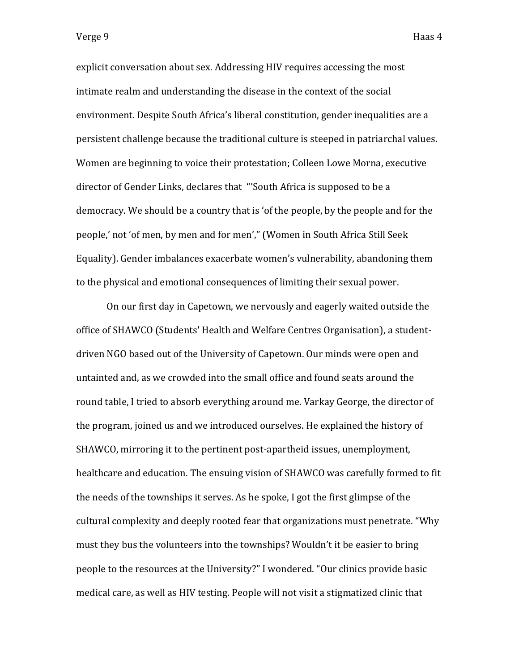explicit conversation about sex. Addressing HIV requires accessing the most intimate realm and understanding the disease in the context of the social environment. Despite South Africa's liberal constitution, gender inequalities are a persistent challenge because the traditional culture is steeped in patriarchal values. Women are beginning to voice their protestation; Colleen Lowe Morna, executive director of Gender Links, declares that "'South Africa is supposed to be a democracy. We should be a country that is 'of the people, by the people and for the people,' not 'of men, by men and for men'," (Women in South Africa Still Seek Equality). Gender imbalances exacerbate women's vulnerability, abandoning them to the physical and emotional consequences of limiting their sexual power.

On our first day in Capetown, we nervously and eagerly waited outside the office of SHAWCO (Students' Health and Welfare Centres Organisation), a studentdriven NGO based out of the University of Capetown. Our minds were open and untainted and, as we crowded into the small office and found seats around the round table, I tried to absorb everything around me. Varkay George, the director of the program, joined us and we introduced ourselves. He explained the history of SHAWCO, mirroring it to the pertinent post-apartheid issues, unemployment, healthcare and education. The ensuing vision of SHAWCO was carefully formed to fit the needs of the townships it serves. As he spoke, I got the first glimpse of the cultural complexity and deeply rooted fear that organizations must penetrate. "Why must they bus the volunteers into the townships? Wouldn't it be easier to bring people to the resources at the University?" I wondered. "Our clinics provide basic medical care, as well as HIV testing. People will not visit a stigmatized clinic that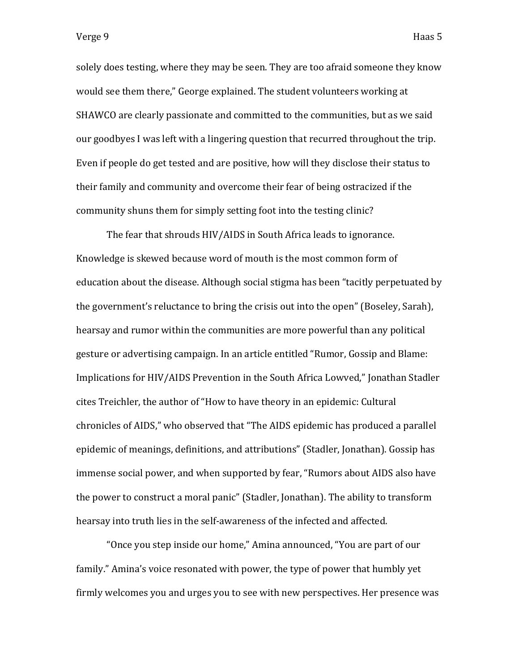solely does testing, where they may be seen. They are too afraid someone they know would see them there," George explained. The student volunteers working at SHAWCO are clearly passionate and committed to the communities, but as we said our goodbyes I was left with a lingering question that recurred throughout the trip. Even if people do get tested and are positive, how will they disclose their status to their family and community and overcome their fear of being ostracized if the community shuns them for simply setting foot into the testing clinic?

The fear that shrouds HIV/AIDS in South Africa leads to ignorance. Knowledge is skewed because word of mouth is the most common form of education about the disease. Although social stigma has been "tacitly perpetuated by the government's reluctance to bring the crisis out into the open" (Boseley, Sarah), hearsay and rumor within the communities are more powerful than any political gesture or advertising campaign. In an article entitled "Rumor, Gossip and Blame: Implications for HIV/AIDS Prevention in the South Africa Lowved," Jonathan Stadler cites Treichler, the author of "How to have theory in an epidemic: Cultural chronicles of AIDS," who observed that "The AIDS epidemic has produced a parallel epidemic of meanings, definitions, and attributions" (Stadler, Jonathan). Gossip has immense social power, and when supported by fear, "Rumors about AIDS also have the power to construct a moral panic" (Stadler, Jonathan). The ability to transform hearsay into truth lies in the self-awareness of the infected and affected.

"Once you step inside our home," Amina announced, "You are part of our family." Amina's voice resonated with power, the type of power that humbly yet firmly welcomes you and urges you to see with new perspectives. Her presence was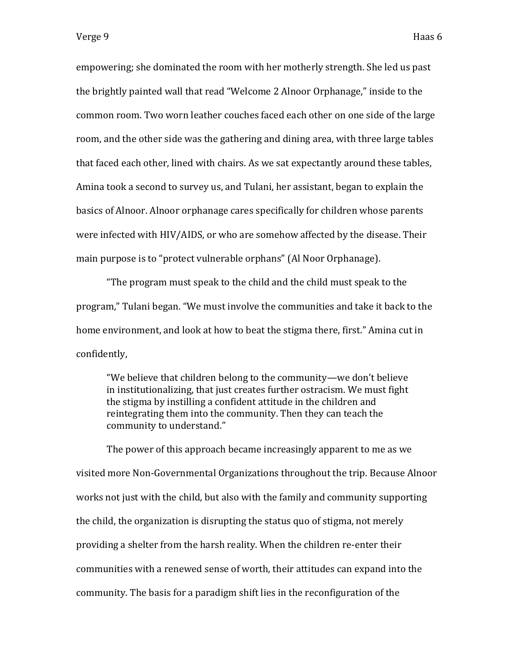empowering; she dominated the room with her motherly strength. She led us past the brightly painted wall that read "Welcome 2 Alnoor Orphanage," inside to the common room. Two worn leather couches faced each other on one side of the large room, and the other side was the gathering and dining area, with three large tables that faced each other, lined with chairs. As we sat expectantly around these tables, Amina took a second to survey us, and Tulani, her assistant, began to explain the basics of Alnoor. Alnoor orphanage cares specifically for children whose parents were infected with HIV/AIDS, or who are somehow affected by the disease. Their main purpose is to "protect vulnerable orphans" (Al Noor Orphanage).

"The program must speak to the child and the child must speak to the program," Tulani began. "We must involve the communities and take it back to the home environment, and look at how to beat the stigma there, first." Amina cut in confidently,

"We believe that children belong to the community—we don't believe in institutionalizing, that just creates further ostracism. We must fight the stigma by instilling a confident attitude in the children and reintegrating them into the community. Then they can teach the community to understand."

The power of this approach became increasingly apparent to me as we visited more Non-Governmental Organizations throughout the trip. Because Alnoor works not just with the child, but also with the family and community supporting the child, the organization is disrupting the status quo of stigma, not merely providing a shelter from the harsh reality. When the children re-enter their communities with a renewed sense of worth, their attitudes can expand into the community. The basis for a paradigm shift lies in the reconfiguration of the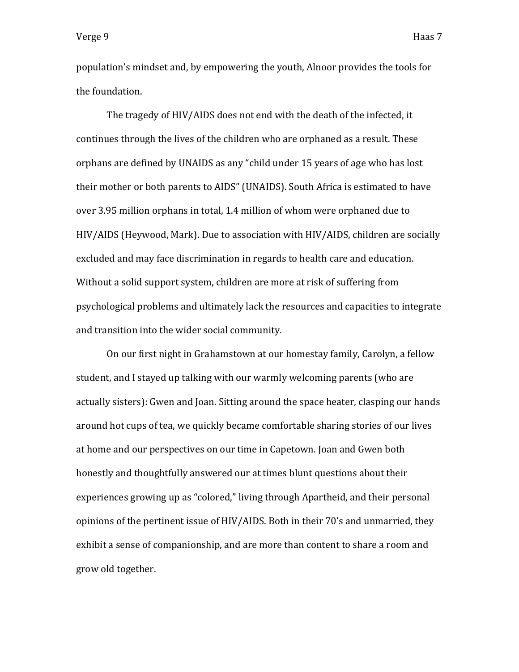population's mindset and, by empowering the youth, Alnoor provides the tools for the foundation.

The tragedy of HIV/AIDS does not end with the death of the infected, it continues through the lives of the children who are orphaned as a result. These orphans are defined by UNAIDS as any "child under 15 years of age who has lost their mother or both parents to AIDS" (UNAIDS). South Africa is estimated to have over 3.95 million orphans in total, 1.4 million of whom were orphaned due to HIV/AIDS (Heywood, Mark). Due to association with HIV/AIDS, children are socially excluded and may face discrimination in regards to health care and education. Without a solid support system, children are more at risk of suffering from psychological problems and ultimately lack the resources and capacities to integrate and transition into the wider social community.

On our first night in Grahamstown at our homestay family, Carolyn, a fellow student, and I stayed up talking with our warmly welcoming parents (who are actually sisters): Gwen and Joan. Sitting around the space heater, clasping our hands around hot cups of tea, we quickly became comfortable sharing stories of our lives at home and our perspectives on our time in Capetown. Joan and Gwen both honestly and thoughtfully answered our at times blunt questions about their experiences growing up as "colored," living through Apartheid, and their personal opinions of the pertinent issue of HIV/AIDS. Both in their 70's and unmarried, they exhibit a sense of companionship, and are more than content to share a room and grow old together.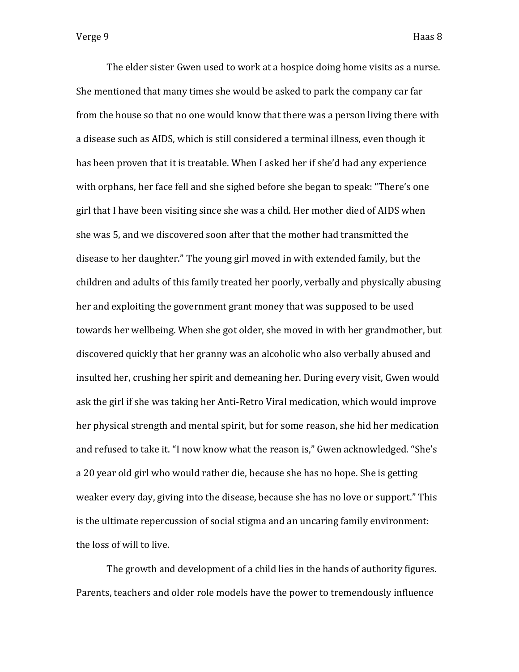The elder sister Gwen used to work at a hospice doing home visits as a nurse. She mentioned that many times she would be asked to park the company car far from the house so that no one would know that there was a person living there with a disease such as AIDS, which is still considered a terminal illness, even though it has been proven that it is treatable. When I asked her if she'd had any experience with orphans, her face fell and she sighed before she began to speak: "There's one girl that I have been visiting since she was a child. Her mother died of AIDS when she was 5, and we discovered soon after that the mother had transmitted the disease to her daughter." The young girl moved in with extended family, but the children and adults of this family treated her poorly, verbally and physically abusing her and exploiting the government grant money that was supposed to be used towards her wellbeing. When she got older, she moved in with her grandmother, but discovered quickly that her granny was an alcoholic who also verbally abused and insulted her, crushing her spirit and demeaning her. During every visit, Gwen would ask the girl if she was taking her Anti-Retro Viral medication, which would improve her physical strength and mental spirit, but for some reason, she hid her medication and refused to take it. "I now know what the reason is," Gwen acknowledged. "She's a 20 year old girl who would rather die, because she has no hope. She is getting weaker every day, giving into the disease, because she has no love or support." This is the ultimate repercussion of social stigma and an uncaring family environment: the loss of will to live.

The growth and development of a child lies in the hands of authority figures. Parents, teachers and older role models have the power to tremendously influence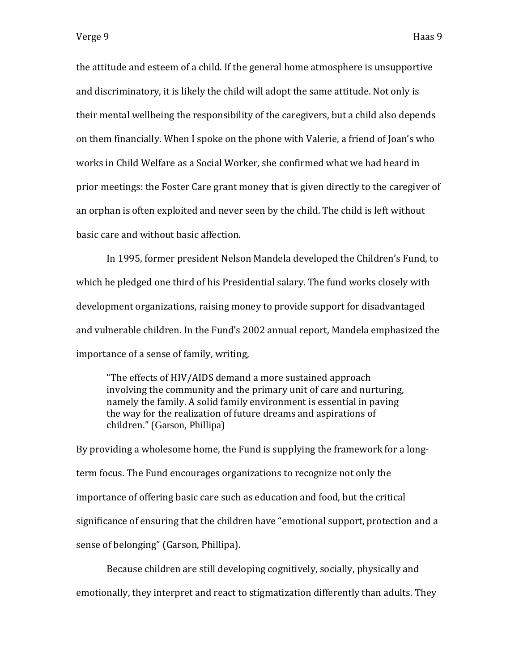the attitude and esteem of a child. If the general home atmosphere is unsupportive and discriminatory, it is likely the child will adopt the same attitude. Not only is their mental wellbeing the responsibility of the caregivers, but a child also depends on them financially. When I spoke on the phone with Valerie, a friend of Joan's who works in Child Welfare as a Social Worker, she confirmed what we had heard in prior meetings: the Foster Care grant money that is given directly to the caregiver of an orphan is often exploited and never seen by the child. The child is left without basic care and without basic affection.

In 1995, former president Nelson Mandela developed the Children's Fund, to which he pledged one third of his Presidential salary. The fund works closely with development organizations, raising money to provide support for disadvantaged and vulnerable children. In the Fund's 2002 annual report, Mandela emphasized the importance of a sense of family, writing,

"The effects of HIV/AIDS demand a more sustained approach involving the community and the primary unit of care and nurturing, namely the family. A solid family environment is essential in paving the way for the realization of future dreams and aspirations of children." (Garson, Phillipa)

By providing a wholesome home, the Fund is supplying the framework for a longterm focus. The Fund encourages organizations to recognize not only the importance of offering basic care such as education and food, but the critical significance of ensuring that the children have "emotional support, protection and a sense of belonging" (Garson, Phillipa).

Because children are still developing cognitively, socially, physically and emotionally, they interpret and react to stigmatization differently than adults. They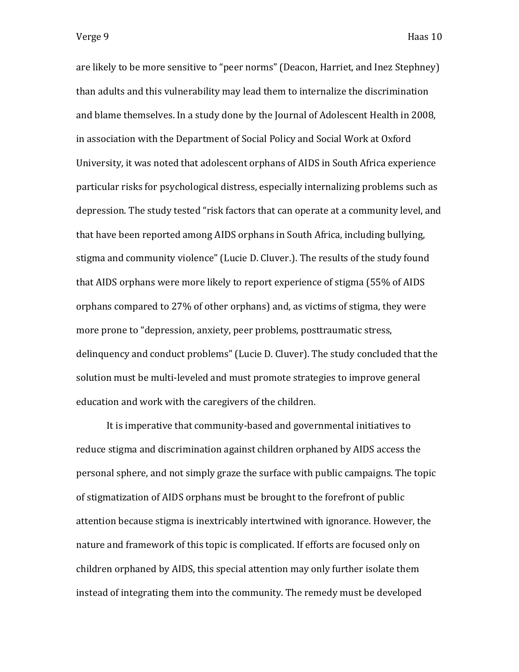are likely to be more sensitive to "peer norms" (Deacon, Harriet, and Inez Stephney) than adults and this vulnerability may lead them to internalize the discrimination and blame themselves. In a study done by the Journal of Adolescent Health in 2008, in association with the Department of Social Policy and Social Work at Oxford University, it was noted that adolescent orphans of AIDS in South Africa experience particular risks for psychological distress, especially internalizing problems such as depression. The study tested "risk factors that can operate at a community level, and that have been reported among AIDS orphans in South Africa, including bullying, stigma and community violence" (Lucie D. Cluver.). The results of the study found that AIDS orphans were more likely to report experience of stigma (55% of AIDS orphans compared to 27% of other orphans) and, as victims of stigma, they were more prone to "depression, anxiety, peer problems, posttraumatic stress, delinquency and conduct problems" (Lucie D. Cluver). The study concluded that the solution must be multi-leveled and must promote strategies to improve general education and work with the caregivers of the children.

It is imperative that community-based and governmental initiatives to reduce stigma and discrimination against children orphaned by AIDS access the personal sphere, and not simply graze the surface with public campaigns. The topic of stigmatization of AIDS orphans must be brought to the forefront of public attention because stigma is inextricably intertwined with ignorance. However, the nature and framework of this topic is complicated. If efforts are focused only on children orphaned by AIDS, this special attention may only further isolate them instead of integrating them into the community. The remedy must be developed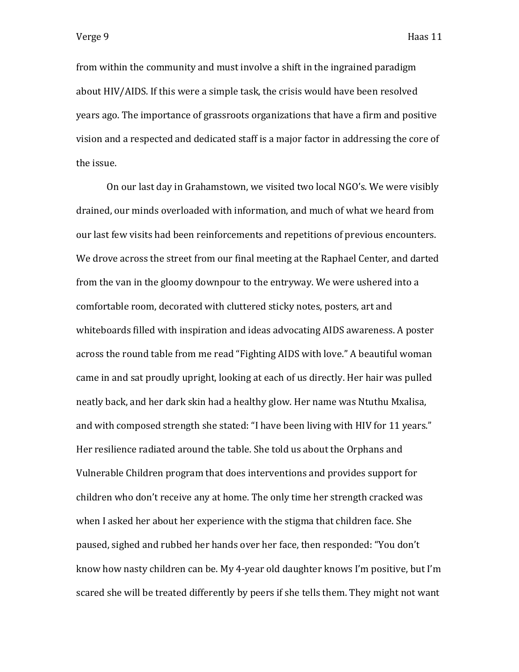from within the community and must involve a shift in the ingrained paradigm about HIV/AIDS. If this were a simple task, the crisis would have been resolved years ago. The importance of grassroots organizations that have a firm and positive vision and a respected and dedicated staff is a major factor in addressing the core of the issue.

On our last day in Grahamstown, we visited two local NGO's. We were visibly drained, our minds overloaded with information, and much of what we heard from our last few visits had been reinforcements and repetitions of previous encounters. We drove across the street from our final meeting at the Raphael Center, and darted from the van in the gloomy downpour to the entryway. We were ushered into a comfortable room, decorated with cluttered sticky notes, posters, art and whiteboards filled with inspiration and ideas advocating AIDS awareness. A poster across the round table from me read "Fighting AIDS with love." A beautiful woman came in and sat proudly upright, looking at each of us directly. Her hair was pulled neatly back, and her dark skin had a healthy glow. Her name was Ntuthu Mxalisa, and with composed strength she stated: "I have been living with HIV for 11 years." Her resilience radiated around the table. She told us about the Orphans and Vulnerable Children program that does interventions and provides support for children who don't receive any at home. The only time her strength cracked was when I asked her about her experience with the stigma that children face. She paused, sighed and rubbed her hands over her face, then responded: "You don't know how nasty children can be. My 4-year old daughter knows I'm positive, but I'm scared she will be treated differently by peers if she tells them. They might not want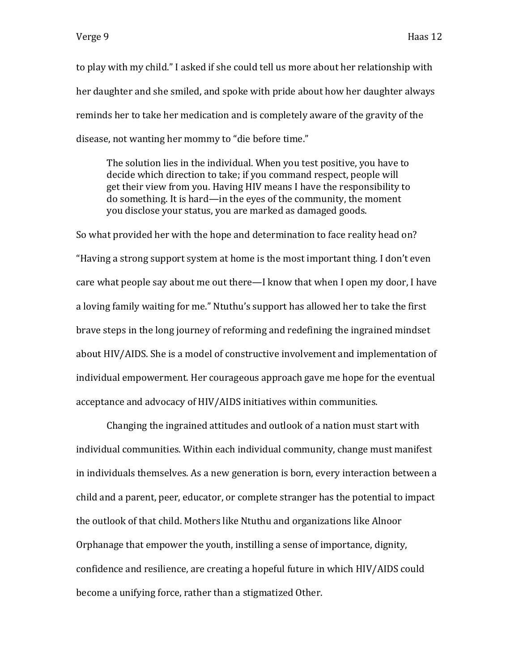to play with my child." I asked if she could tell us more about her relationship with her daughter and she smiled, and spoke with pride about how her daughter always reminds her to take her medication and is completely aware of the gravity of the disease, not wanting her mommy to "die before time."

The solution lies in the individual. When you test positive, you have to decide which direction to take; if you command respect, people will get their view from you. Having HIV means I have the responsibility to do something. It is hard—in the eyes of the community, the moment you disclose your status, you are marked as damaged goods.

So what provided her with the hope and determination to face reality head on? "Having a strong support system at home is the most important thing. I don't even care what people say about me out there—I know that when I open my door, I have a loving family waiting for me." Ntuthu's support has allowed her to take the first brave steps in the long journey of reforming and redefining the ingrained mindset about HIV/AIDS. She is a model of constructive involvement and implementation of individual empowerment. Her courageous approach gave me hope for the eventual acceptance and advocacy of HIV/AIDS initiatives within communities.

Changing the ingrained attitudes and outlook of a nation must start with individual communities. Within each individual community, change must manifest in individuals themselves. As a new generation is born, every interaction between a child and a parent, peer, educator, or complete stranger has the potential to impact the outlook of that child. Mothers like Ntuthu and organizations like Alnoor Orphanage that empower the youth, instilling a sense of importance, dignity, confidence and resilience, are creating a hopeful future in which HIV/AIDS could become a unifying force, rather than a stigmatized Other.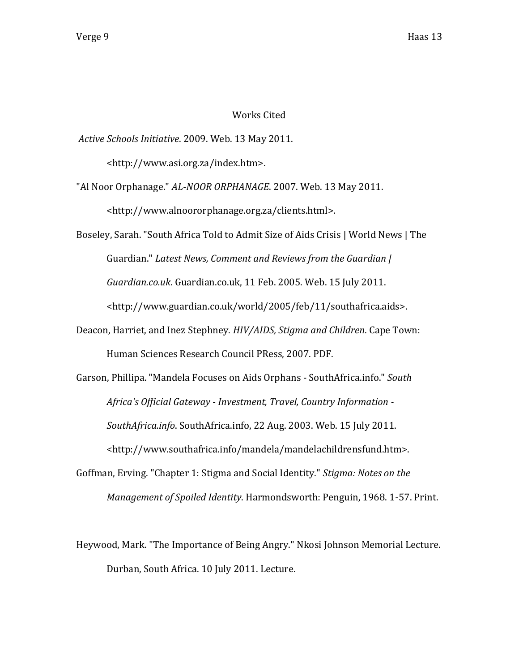## Works Cited

*Active Schools Initiative*. 2009. Web. 13 May 2011.

<http://www.asi.org.za/index.htm>.

"Al Noor Orphanage." *AL-NOOR ORPHANAGE*. 2007. Web. 13 May 2011. <http://www.alnoororphanage.org.za/clients.html>.

Boseley, Sarah. "South Africa Told to Admit Size of Aids Crisis | World News | The Guardian." *Latest News, Comment and Reviews from the Guardian | Guardian.co.uk*. Guardian.co.uk, 11 Feb. 2005. Web. 15 July 2011. <http://www.guardian.co.uk/world/2005/feb/11/southafrica.aids>.

Deacon, Harriet, and Inez Stephney. *HIV/AIDS, Stigma and Children*. Cape Town: Human Sciences Research Council PRess, 2007. PDF.

Garson, Phillipa. "Mandela Focuses on Aids Orphans - SouthAfrica.info." *South Africa's Official Gateway - Investment, Travel, Country Information - SouthAfrica.info*. SouthAfrica.info, 22 Aug. 2003. Web. 15 July 2011. <http://www.southafrica.info/mandela/mandelachildrensfund.htm>.

Goffman, Erving. "Chapter 1: Stigma and Social Identity." *Stigma: Notes on the Management of Spoiled Identity*. Harmondsworth: Penguin, 1968. 1-57. Print.

Heywood, Mark. "The Importance of Being Angry." Nkosi Johnson Memorial Lecture. Durban, South Africa. 10 July 2011. Lecture.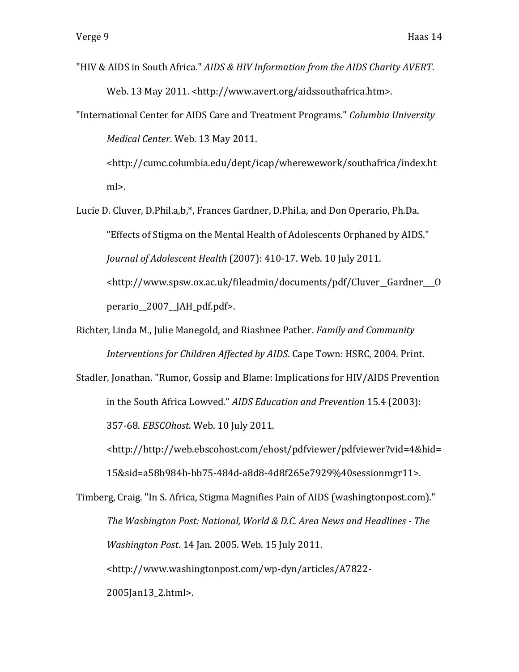- "HIV & AIDS in South Africa." *AIDS & HIV Information from the AIDS Charity AVERT*. Web. 13 May 2011. <http://www.avert.org/aidssouthafrica.htm>.
- "International Center for AIDS Care and Treatment Programs." *Columbia University Medical Center*. Web. 13 May 2011.

<http://cumc.columbia.edu/dept/icap/wherewework/southafrica/index.ht ml>.

Lucie D. Cluver, D.Phil.a,b,\*, Frances Gardner, D.Phil.a, and Don Operario, Ph.Da. "Effects of Stigma on the Mental Health of Adolescents Orphaned by AIDS." *Journal of Adolescent Health* (2007): 410-17. Web. 10 July 2011. <http://www.spsw.ox.ac.uk/fileadmin/documents/pdf/Cluver\_\_Gardner\_\_\_O perario\_\_2007\_\_JAH\_pdf.pdf>.

Richter, Linda M., Julie Manegold, and Riashnee Pather. *Family and Community Interventions for Children Affected by AIDS*. Cape Town: HSRC, 2004. Print.

Stadler, Jonathan. "Rumor, Gossip and Blame: Implications for HIV/AIDS Prevention in the South Africa Lowved." *AIDS Education and Prevention* 15.4 (2003): 357-68. *EBSCOhost*. Web. 10 July 2011.

<http://http://web.ebscohost.com/ehost/pdfviewer/pdfviewer?vid=4&hid= 15&sid=a58b984b-bb75-484d-a8d8-4d8f265e7929%40sessionmgr11>.

Timberg, Craig. "In S. Africa, Stigma Magnifies Pain of AIDS (washingtonpost.com)." *The Washington Post: National, World & D.C. Area News and Headlines - The Washington Post*. 14 Jan. 2005. Web. 15 July 2011. <http://www.washingtonpost.com/wp-dyn/articles/A7822- 2005Jan13\_2.html>.